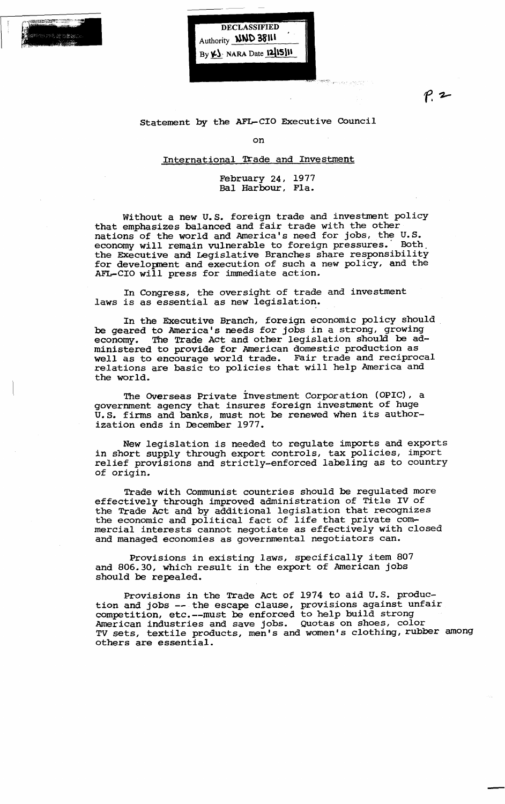

DECLASSIFIED Authority **NND 38111**  $By  $\mathcal{L}$  NARA Date  $12|15|$$ 

 $P.2$ 

Statement by the AFL-CIO Executive Council

on

## International Trade and Investment

## February 24, 1977 Bal Harbour, Fla.

Without a new u.S. foreign trade and investment policy that emphasizes balanced and fair trade with the other nations of the world and America's need for jobs, the U.S. economy will remain vulnerable to foreign pressures.' Both. the EXecutive and Legislative Branches share responsibility for development and execution of such a new policy, and the AFL-CIO will press for immediate action.

In Congress, the oversight of trade and investment laws is as essential as new legislation.

In the Executive Branch, foreign economic policy should be geared to America's needs for jobs in a strong, growing economy. The Trade Act and other legislation should be administered to provide for American domestic production as *well* as to encourage world trade. Fair trade and reciprocal relations are basic to policies that will help America and the world.

The Overseas Private investment Corporation (OPIC), a government agency that insures foreign investment of huge U.S. firms and banks, must not be renewed when its authorization ends in December 1977.

New legislation is needed to regulate imports and exports in short supply through export controls, tax policies, import relief provisions and strictly-enforced labeling as to country of origin.

Trade with Communist countries should be regulated more effectively through improved administration of Title IV of the Trade Act and by additional legislation that recognizes the frame act and by additional legislation that recognize<br>the economic and political fact of life that private commercial interests cannot negotiate as effectively with closed and managed economies as governmental negotiators can.

Provisions in existing laws, specifically item 807 and 806.30, which result in the export of American jobs should be repealed.

Provisions *in* the Trade Act of 1974 to aid U.S. production and jobs -- the escape clause, provisions against unfair cion dia joist the observe statist, provisions against measurements American industries and save jobs. Quotas on shoes, color TV sets, textile products, men's and women's clothing, rubber among others are essential.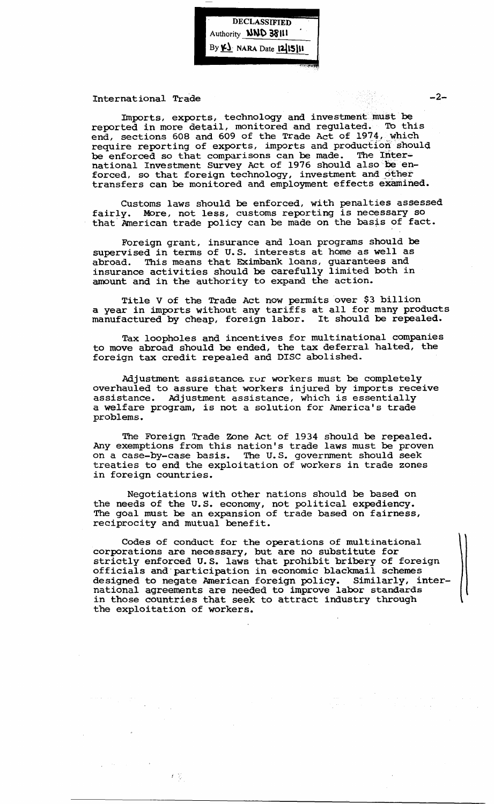DECLASSIFIED<br>Authority **NND 38111**<br>By <u>VJ</u>: NARA Date 12/15/11 Authority **NND 38111** By  $\underline{\mathbf{Y}}$ -NARA Date 1215111

International Trade

Imports, exports, technology and investment must be reported in more detail, monitored and regulated. To this end, sections 608 and 609 of the Trade Act of 1974, which require reporting of exports, imports and production should be enforced so that comparisons can be made. The International Investment Survey Act of 1976 should also be enforced, so that foreign technology, investment and other transfers can be monitored and employment effects examined.

Customs laws should be enforced, with penalties assessed fairly. More, not less, customs reporting is necessary so that' American trade policy can be made on the basis of fact.

Foreign grant, insurance and loan programs should be supervised in terms of U.S. interests at home as well as abroad. This means that Eximbank loans, guarantees and insurance activities should be carefully limited both in amount and in the authority to expand the action.

Title V of the Trade Act now permits over \$3 billion a year in imports without any tariffs at all for many products a year in imports without any tarifis at ail for many product.<br>manufactured by cheap, foreign labor. It should be repealed.

Tax loopholes and incentives for multinational companies to move abroad should be ended, the tax deferral halted, the foreign tax credit repealed and DISC abolished.

Adjustment assistance ror workers must be completely overhauled to assure that workers injured by imports receive assistance. Adjustment assistance, which is essentially a welfare program, is not a solution for America's trade problems.

The Foreign Trade Zone Act of 1934 should be repealed. Any exemptions from this nation's trade laws must be proven on a case-by-case basis. The U.S. government should seek on a dasc by case basis. The cist government should been in foreign countries.

Negotiations with other nations should be based on the needs of the U.S. economy, not political expediency. The goal must be an expansion of trade based on fairness, reciprocity and mutual benefit.

Codes of conduct for the operations of multinational corporations are necessary, but are no substitute for strictly enforced u.S. laws that prohibit bribery of foreign officials and-participation in economic blackmail schemes designed to negate American foreign policy. Similarly, international agreements are needed to improve labor standards in those countries that seek to attract industry through the exploitation of workers.

 $-2-$ 

 $f \in \sum_{j=1}^{n-1}$